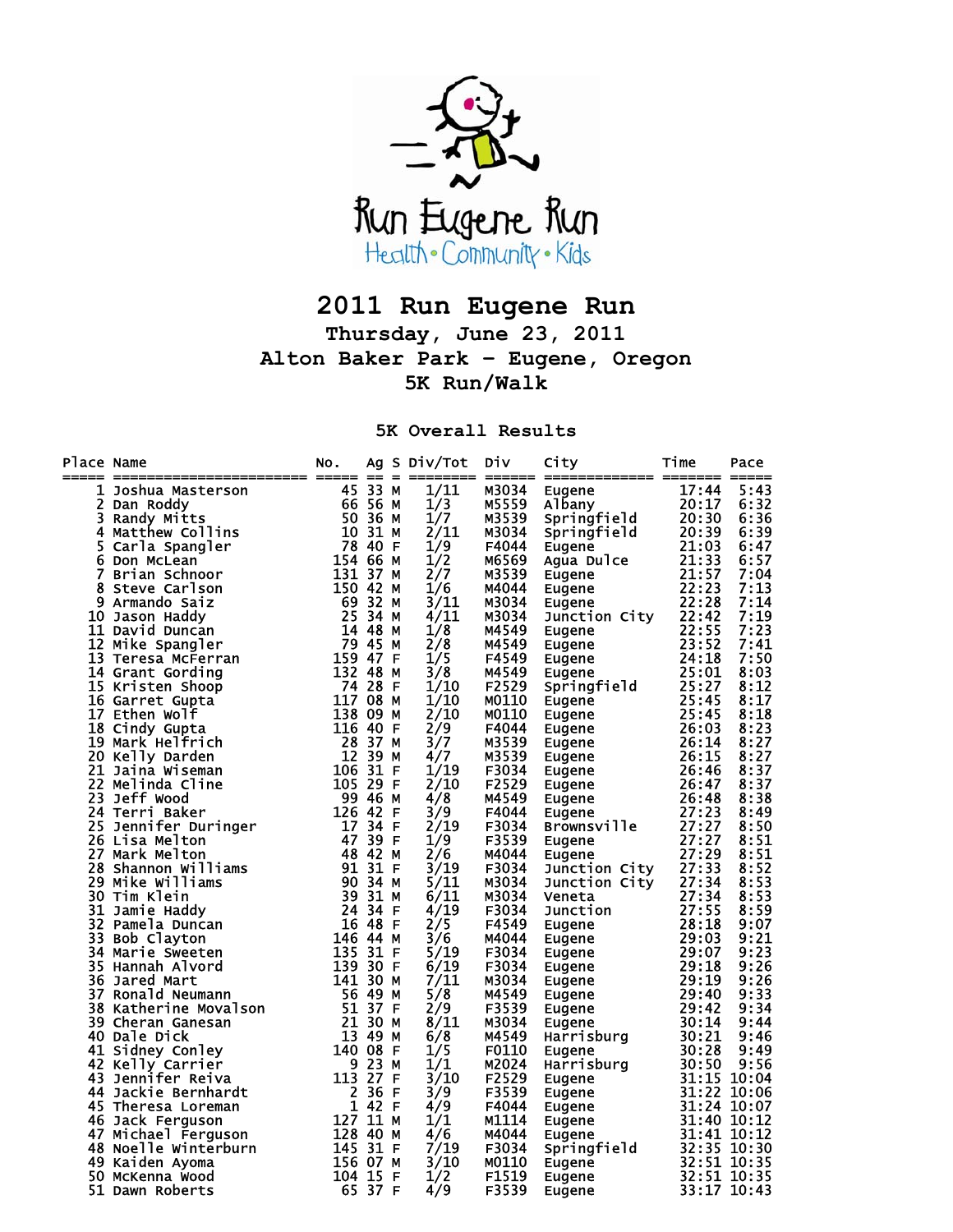

## **2011 Run Eugene Run**

**Thursday, June 23, 2011 Alton Baker Park – Eugene, Oregon 5K Run/Walk** 

**5K Overall Results** 

| 1/11<br>M3034<br>City Time Pace 1<br>Eugene 17:44 5:43<br>Albany 20:17 6:33<br>Springfield 20:30 6:33<br>Springfield 20:30 6:39<br>Eugene 21:13 6:57<br>Eugene 21:13 6:57<br>Eugene 21:13 6:57<br>Eugene 22:28 7:14<br>Eugene 22:28 7:14<br>Dunction City 22:42<br>Du<br>ace Name and Model of the Matter Control of the Same and Model of Same Roddy<br>1 Joshua Masterson (15 33 am Roddy)<br>1 Joshua Masterson (15 33 am Roddy)<br>1 Same Roddy (15 1 3 3 am Schnoor (15 4 4 3 4 4 5 3 am Roddy)<br>2 Brew<br>1/3<br>M5559<br>1/7<br>M3539<br>2/11<br>M3034<br>1/9<br>F4044<br>1/2<br>M6569<br>2/7<br>M3539<br>1/6<br>M4044<br>3/11<br>M3034<br>4/11<br>M3034<br>1/8<br>M4549<br>2/8<br>M4549<br>1/5<br>F4549<br>3/8<br>M4549<br>1/10<br>F2529<br>1/10<br>M0110<br>2/10<br><b>MO110</b><br>2/9<br>F4044<br>3/7<br>M3539<br>4/7<br>M3539<br>1/19<br>F3034<br>2/10<br>F2529<br>4/8<br>M4549<br>3/9<br>F4044<br>2/19<br>F3034<br>1/9<br>F3539<br>2/6<br>M4044<br>3/19<br>F3034<br>5/11<br>M3034<br>6/11<br>M3034<br>4/19<br>F3034<br>2/5<br>F4549<br>3/6<br>M4044<br>5/19<br>F3034<br>6/19<br>F3034<br>7/11<br>M3034<br>5/8<br>M4549<br>2/9<br>F3539<br>8/11<br>M3034<br>6/8<br>M4549<br>1/5<br><b>F0110</b><br>1/1<br>M2024<br>3/10<br>F2529<br>3/9<br>F3539<br>4/9<br>F4044<br>1/1<br>M1114<br>4/6<br>M4044<br>7/19<br>F3034<br>3/10<br>M0110<br>F1519<br>1/2<br>F3539<br>4/9 | Place Name | NO. |  |  | $\overline{Ag}$ S Div/Tot Div City | Time | Pace |
|----------------------------------------------------------------------------------------------------------------------------------------------------------------------------------------------------------------------------------------------------------------------------------------------------------------------------------------------------------------------------------------------------------------------------------------------------------------------------------------------------------------------------------------------------------------------------------------------------------------------------------------------------------------------------------------------------------------------------------------------------------------------------------------------------------------------------------------------------------------------------------------------------------------------------------------------------------------------------------------------------------------------------------------------------------------------------------------------------------------------------------------------------------------------------------------------------------------------------------------------------------------------------------------------------------------------------------------------------------------------------------|------------|-----|--|--|------------------------------------|------|------|
|                                                                                                                                                                                                                                                                                                                                                                                                                                                                                                                                                                                                                                                                                                                                                                                                                                                                                                                                                                                                                                                                                                                                                                                                                                                                                                                                                                                  |            |     |  |  |                                    |      |      |
|                                                                                                                                                                                                                                                                                                                                                                                                                                                                                                                                                                                                                                                                                                                                                                                                                                                                                                                                                                                                                                                                                                                                                                                                                                                                                                                                                                                  |            |     |  |  |                                    |      |      |
|                                                                                                                                                                                                                                                                                                                                                                                                                                                                                                                                                                                                                                                                                                                                                                                                                                                                                                                                                                                                                                                                                                                                                                                                                                                                                                                                                                                  |            |     |  |  |                                    |      |      |
|                                                                                                                                                                                                                                                                                                                                                                                                                                                                                                                                                                                                                                                                                                                                                                                                                                                                                                                                                                                                                                                                                                                                                                                                                                                                                                                                                                                  |            |     |  |  |                                    |      |      |
|                                                                                                                                                                                                                                                                                                                                                                                                                                                                                                                                                                                                                                                                                                                                                                                                                                                                                                                                                                                                                                                                                                                                                                                                                                                                                                                                                                                  |            |     |  |  |                                    |      |      |
|                                                                                                                                                                                                                                                                                                                                                                                                                                                                                                                                                                                                                                                                                                                                                                                                                                                                                                                                                                                                                                                                                                                                                                                                                                                                                                                                                                                  |            |     |  |  |                                    |      |      |
|                                                                                                                                                                                                                                                                                                                                                                                                                                                                                                                                                                                                                                                                                                                                                                                                                                                                                                                                                                                                                                                                                                                                                                                                                                                                                                                                                                                  |            |     |  |  |                                    |      |      |
|                                                                                                                                                                                                                                                                                                                                                                                                                                                                                                                                                                                                                                                                                                                                                                                                                                                                                                                                                                                                                                                                                                                                                                                                                                                                                                                                                                                  |            |     |  |  |                                    |      |      |
|                                                                                                                                                                                                                                                                                                                                                                                                                                                                                                                                                                                                                                                                                                                                                                                                                                                                                                                                                                                                                                                                                                                                                                                                                                                                                                                                                                                  |            |     |  |  |                                    |      |      |
|                                                                                                                                                                                                                                                                                                                                                                                                                                                                                                                                                                                                                                                                                                                                                                                                                                                                                                                                                                                                                                                                                                                                                                                                                                                                                                                                                                                  |            |     |  |  |                                    |      |      |
|                                                                                                                                                                                                                                                                                                                                                                                                                                                                                                                                                                                                                                                                                                                                                                                                                                                                                                                                                                                                                                                                                                                                                                                                                                                                                                                                                                                  |            |     |  |  |                                    |      |      |
|                                                                                                                                                                                                                                                                                                                                                                                                                                                                                                                                                                                                                                                                                                                                                                                                                                                                                                                                                                                                                                                                                                                                                                                                                                                                                                                                                                                  |            |     |  |  |                                    |      |      |
|                                                                                                                                                                                                                                                                                                                                                                                                                                                                                                                                                                                                                                                                                                                                                                                                                                                                                                                                                                                                                                                                                                                                                                                                                                                                                                                                                                                  |            |     |  |  |                                    |      |      |
|                                                                                                                                                                                                                                                                                                                                                                                                                                                                                                                                                                                                                                                                                                                                                                                                                                                                                                                                                                                                                                                                                                                                                                                                                                                                                                                                                                                  |            |     |  |  |                                    |      |      |
|                                                                                                                                                                                                                                                                                                                                                                                                                                                                                                                                                                                                                                                                                                                                                                                                                                                                                                                                                                                                                                                                                                                                                                                                                                                                                                                                                                                  |            |     |  |  |                                    |      |      |
|                                                                                                                                                                                                                                                                                                                                                                                                                                                                                                                                                                                                                                                                                                                                                                                                                                                                                                                                                                                                                                                                                                                                                                                                                                                                                                                                                                                  |            |     |  |  |                                    |      |      |
|                                                                                                                                                                                                                                                                                                                                                                                                                                                                                                                                                                                                                                                                                                                                                                                                                                                                                                                                                                                                                                                                                                                                                                                                                                                                                                                                                                                  |            |     |  |  |                                    |      |      |
|                                                                                                                                                                                                                                                                                                                                                                                                                                                                                                                                                                                                                                                                                                                                                                                                                                                                                                                                                                                                                                                                                                                                                                                                                                                                                                                                                                                  |            |     |  |  |                                    |      |      |
|                                                                                                                                                                                                                                                                                                                                                                                                                                                                                                                                                                                                                                                                                                                                                                                                                                                                                                                                                                                                                                                                                                                                                                                                                                                                                                                                                                                  |            |     |  |  |                                    |      |      |
|                                                                                                                                                                                                                                                                                                                                                                                                                                                                                                                                                                                                                                                                                                                                                                                                                                                                                                                                                                                                                                                                                                                                                                                                                                                                                                                                                                                  |            |     |  |  |                                    |      |      |
|                                                                                                                                                                                                                                                                                                                                                                                                                                                                                                                                                                                                                                                                                                                                                                                                                                                                                                                                                                                                                                                                                                                                                                                                                                                                                                                                                                                  |            |     |  |  |                                    |      |      |
|                                                                                                                                                                                                                                                                                                                                                                                                                                                                                                                                                                                                                                                                                                                                                                                                                                                                                                                                                                                                                                                                                                                                                                                                                                                                                                                                                                                  |            |     |  |  |                                    |      |      |
|                                                                                                                                                                                                                                                                                                                                                                                                                                                                                                                                                                                                                                                                                                                                                                                                                                                                                                                                                                                                                                                                                                                                                                                                                                                                                                                                                                                  |            |     |  |  |                                    |      |      |
|                                                                                                                                                                                                                                                                                                                                                                                                                                                                                                                                                                                                                                                                                                                                                                                                                                                                                                                                                                                                                                                                                                                                                                                                                                                                                                                                                                                  |            |     |  |  |                                    |      |      |
|                                                                                                                                                                                                                                                                                                                                                                                                                                                                                                                                                                                                                                                                                                                                                                                                                                                                                                                                                                                                                                                                                                                                                                                                                                                                                                                                                                                  |            |     |  |  |                                    |      |      |
|                                                                                                                                                                                                                                                                                                                                                                                                                                                                                                                                                                                                                                                                                                                                                                                                                                                                                                                                                                                                                                                                                                                                                                                                                                                                                                                                                                                  |            |     |  |  |                                    |      |      |
|                                                                                                                                                                                                                                                                                                                                                                                                                                                                                                                                                                                                                                                                                                                                                                                                                                                                                                                                                                                                                                                                                                                                                                                                                                                                                                                                                                                  |            |     |  |  |                                    |      |      |
|                                                                                                                                                                                                                                                                                                                                                                                                                                                                                                                                                                                                                                                                                                                                                                                                                                                                                                                                                                                                                                                                                                                                                                                                                                                                                                                                                                                  |            |     |  |  |                                    |      |      |
|                                                                                                                                                                                                                                                                                                                                                                                                                                                                                                                                                                                                                                                                                                                                                                                                                                                                                                                                                                                                                                                                                                                                                                                                                                                                                                                                                                                  |            |     |  |  |                                    |      |      |
|                                                                                                                                                                                                                                                                                                                                                                                                                                                                                                                                                                                                                                                                                                                                                                                                                                                                                                                                                                                                                                                                                                                                                                                                                                                                                                                                                                                  |            |     |  |  |                                    |      |      |
|                                                                                                                                                                                                                                                                                                                                                                                                                                                                                                                                                                                                                                                                                                                                                                                                                                                                                                                                                                                                                                                                                                                                                                                                                                                                                                                                                                                  |            |     |  |  |                                    |      |      |
|                                                                                                                                                                                                                                                                                                                                                                                                                                                                                                                                                                                                                                                                                                                                                                                                                                                                                                                                                                                                                                                                                                                                                                                                                                                                                                                                                                                  |            |     |  |  |                                    |      |      |
|                                                                                                                                                                                                                                                                                                                                                                                                                                                                                                                                                                                                                                                                                                                                                                                                                                                                                                                                                                                                                                                                                                                                                                                                                                                                                                                                                                                  |            |     |  |  |                                    |      |      |
|                                                                                                                                                                                                                                                                                                                                                                                                                                                                                                                                                                                                                                                                                                                                                                                                                                                                                                                                                                                                                                                                                                                                                                                                                                                                                                                                                                                  |            |     |  |  |                                    |      |      |
|                                                                                                                                                                                                                                                                                                                                                                                                                                                                                                                                                                                                                                                                                                                                                                                                                                                                                                                                                                                                                                                                                                                                                                                                                                                                                                                                                                                  |            |     |  |  |                                    |      |      |
|                                                                                                                                                                                                                                                                                                                                                                                                                                                                                                                                                                                                                                                                                                                                                                                                                                                                                                                                                                                                                                                                                                                                                                                                                                                                                                                                                                                  |            |     |  |  |                                    |      |      |
|                                                                                                                                                                                                                                                                                                                                                                                                                                                                                                                                                                                                                                                                                                                                                                                                                                                                                                                                                                                                                                                                                                                                                                                                                                                                                                                                                                                  |            |     |  |  |                                    |      |      |
|                                                                                                                                                                                                                                                                                                                                                                                                                                                                                                                                                                                                                                                                                                                                                                                                                                                                                                                                                                                                                                                                                                                                                                                                                                                                                                                                                                                  |            |     |  |  |                                    |      |      |
|                                                                                                                                                                                                                                                                                                                                                                                                                                                                                                                                                                                                                                                                                                                                                                                                                                                                                                                                                                                                                                                                                                                                                                                                                                                                                                                                                                                  |            |     |  |  |                                    |      |      |
|                                                                                                                                                                                                                                                                                                                                                                                                                                                                                                                                                                                                                                                                                                                                                                                                                                                                                                                                                                                                                                                                                                                                                                                                                                                                                                                                                                                  |            |     |  |  |                                    |      |      |
|                                                                                                                                                                                                                                                                                                                                                                                                                                                                                                                                                                                                                                                                                                                                                                                                                                                                                                                                                                                                                                                                                                                                                                                                                                                                                                                                                                                  |            |     |  |  |                                    |      |      |
|                                                                                                                                                                                                                                                                                                                                                                                                                                                                                                                                                                                                                                                                                                                                                                                                                                                                                                                                                                                                                                                                                                                                                                                                                                                                                                                                                                                  |            |     |  |  |                                    |      |      |
|                                                                                                                                                                                                                                                                                                                                                                                                                                                                                                                                                                                                                                                                                                                                                                                                                                                                                                                                                                                                                                                                                                                                                                                                                                                                                                                                                                                  |            |     |  |  |                                    |      |      |
|                                                                                                                                                                                                                                                                                                                                                                                                                                                                                                                                                                                                                                                                                                                                                                                                                                                                                                                                                                                                                                                                                                                                                                                                                                                                                                                                                                                  |            |     |  |  |                                    |      |      |
|                                                                                                                                                                                                                                                                                                                                                                                                                                                                                                                                                                                                                                                                                                                                                                                                                                                                                                                                                                                                                                                                                                                                                                                                                                                                                                                                                                                  |            |     |  |  |                                    |      |      |
|                                                                                                                                                                                                                                                                                                                                                                                                                                                                                                                                                                                                                                                                                                                                                                                                                                                                                                                                                                                                                                                                                                                                                                                                                                                                                                                                                                                  |            |     |  |  |                                    |      |      |
|                                                                                                                                                                                                                                                                                                                                                                                                                                                                                                                                                                                                                                                                                                                                                                                                                                                                                                                                                                                                                                                                                                                                                                                                                                                                                                                                                                                  |            |     |  |  |                                    |      |      |
|                                                                                                                                                                                                                                                                                                                                                                                                                                                                                                                                                                                                                                                                                                                                                                                                                                                                                                                                                                                                                                                                                                                                                                                                                                                                                                                                                                                  |            |     |  |  |                                    |      |      |
|                                                                                                                                                                                                                                                                                                                                                                                                                                                                                                                                                                                                                                                                                                                                                                                                                                                                                                                                                                                                                                                                                                                                                                                                                                                                                                                                                                                  |            |     |  |  |                                    |      |      |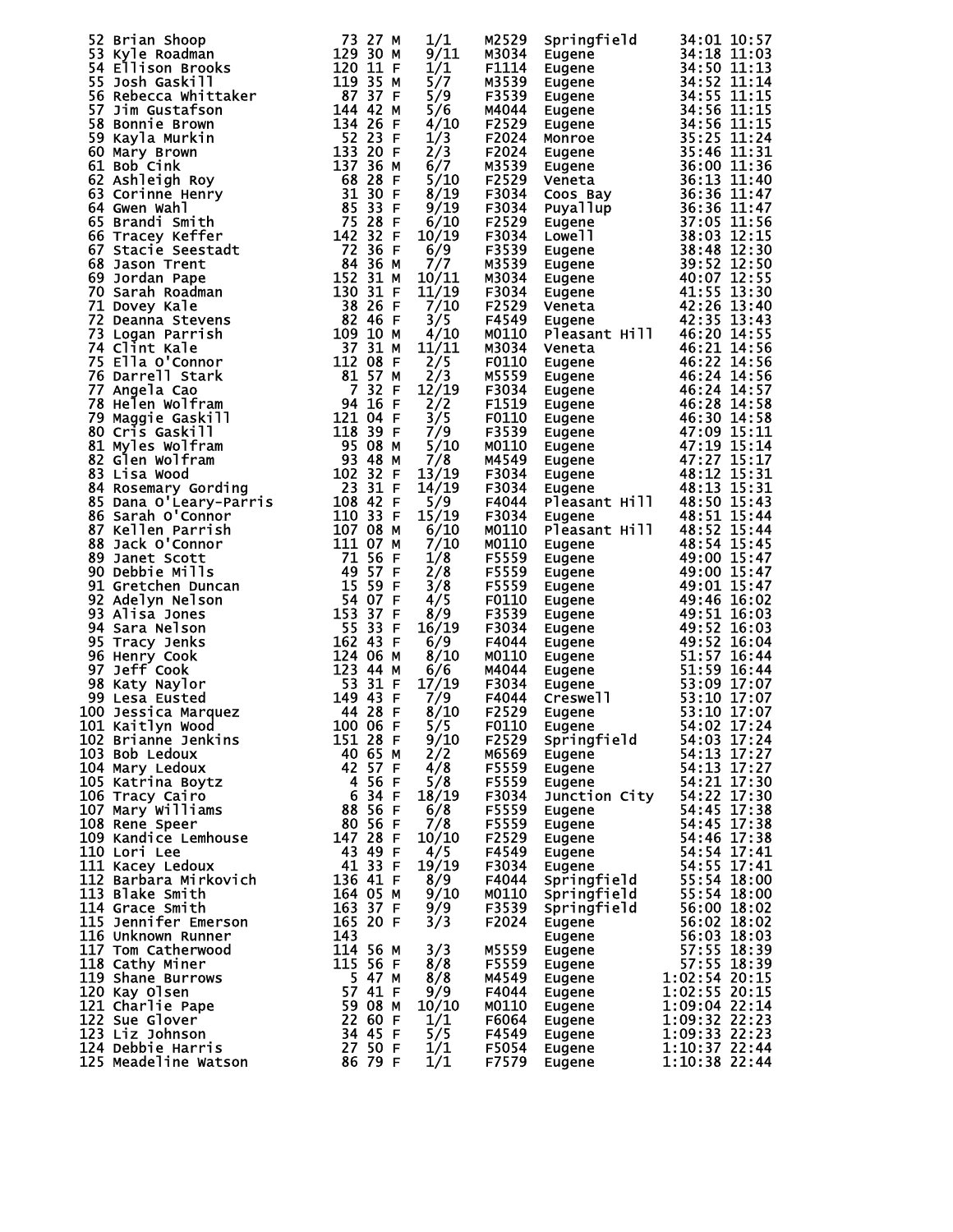|                                                                                                                                                                                                                                                          |                                                                                                        | 1/1          | M2529          |                                                     | Springfield 34:01 10:57<br>Eugene 34:18 11:03<br>Eugene 34:18 11:03<br>Eugene 34:50 11:13<br>Eugene 34:50 11:11<br>Eugene 34:55 11:11<br>Eugene 34:55 11:15<br>Eugene 34:56 11:15<br>Monroe 35:25 11:24<br>Monroe 35:25 11:24<br>Eugene 36:00 11:3 |
|----------------------------------------------------------------------------------------------------------------------------------------------------------------------------------------------------------------------------------------------------------|--------------------------------------------------------------------------------------------------------|--------------|----------------|-----------------------------------------------------|----------------------------------------------------------------------------------------------------------------------------------------------------------------------------------------------------------------------------------------------------|
|                                                                                                                                                                                                                                                          |                                                                                                        | 9/11         | M3034          |                                                     |                                                                                                                                                                                                                                                    |
|                                                                                                                                                                                                                                                          |                                                                                                        | 1/1          | F1114          |                                                     |                                                                                                                                                                                                                                                    |
| 52 Brian Shoop<br>173 27 Prim Shoop<br>173 27 Prim Gadman<br>174 Ellison Brooks<br>181 Stebecca whittaker<br>187 37 Stebecca whittaker<br>187 37 37 20 111 Fig. 120 112 120 112<br>187 37 Bonnie Brown<br>194 42 26 7 57 22 22 23 22 23 22<br>66         |                                                                                                        | 5/7          | M3539          |                                                     |                                                                                                                                                                                                                                                    |
|                                                                                                                                                                                                                                                          |                                                                                                        | 5/9          | F3539          |                                                     |                                                                                                                                                                                                                                                    |
|                                                                                                                                                                                                                                                          |                                                                                                        | 5/6          | M4044          |                                                     |                                                                                                                                                                                                                                                    |
|                                                                                                                                                                                                                                                          |                                                                                                        | 4/10         | F2529          |                                                     |                                                                                                                                                                                                                                                    |
|                                                                                                                                                                                                                                                          |                                                                                                        | 1/3          | F2024          |                                                     |                                                                                                                                                                                                                                                    |
|                                                                                                                                                                                                                                                          |                                                                                                        | 2/3          | F2024          |                                                     |                                                                                                                                                                                                                                                    |
|                                                                                                                                                                                                                                                          |                                                                                                        | 6/7          | M3539          |                                                     |                                                                                                                                                                                                                                                    |
|                                                                                                                                                                                                                                                          |                                                                                                        | 5/10         | F2529          |                                                     |                                                                                                                                                                                                                                                    |
|                                                                                                                                                                                                                                                          |                                                                                                        |              |                |                                                     |                                                                                                                                                                                                                                                    |
|                                                                                                                                                                                                                                                          |                                                                                                        | 8/19<br>9/19 | F3034          |                                                     |                                                                                                                                                                                                                                                    |
|                                                                                                                                                                                                                                                          |                                                                                                        |              | F3034          |                                                     |                                                                                                                                                                                                                                                    |
|                                                                                                                                                                                                                                                          |                                                                                                        | 6/10         | F2529          |                                                     |                                                                                                                                                                                                                                                    |
|                                                                                                                                                                                                                                                          |                                                                                                        | 10/19        | F3034          |                                                     |                                                                                                                                                                                                                                                    |
|                                                                                                                                                                                                                                                          |                                                                                                        | 6/9          | F3539          |                                                     |                                                                                                                                                                                                                                                    |
|                                                                                                                                                                                                                                                          |                                                                                                        | 7/7          | M3539          |                                                     |                                                                                                                                                                                                                                                    |
|                                                                                                                                                                                                                                                          |                                                                                                        | 10/11        | M3034          |                                                     |                                                                                                                                                                                                                                                    |
|                                                                                                                                                                                                                                                          |                                                                                                        | 11/19        | F3034          |                                                     |                                                                                                                                                                                                                                                    |
|                                                                                                                                                                                                                                                          |                                                                                                        | 7/10         | F2529          |                                                     |                                                                                                                                                                                                                                                    |
|                                                                                                                                                                                                                                                          |                                                                                                        | 3/5          | F4549          |                                                     |                                                                                                                                                                                                                                                    |
|                                                                                                                                                                                                                                                          |                                                                                                        | 4/10         | M0110          | Pleasant Hill                                       | 46:20 14:55                                                                                                                                                                                                                                        |
|                                                                                                                                                                                                                                                          |                                                                                                        | 11/11        | M3034          | Veneta                                              | 46:21 14:56                                                                                                                                                                                                                                        |
|                                                                                                                                                                                                                                                          |                                                                                                        | 2/5          | F0110          | Eugene                                              | 46:22 14:56                                                                                                                                                                                                                                        |
|                                                                                                                                                                                                                                                          |                                                                                                        | 2/3          | M5559          | Eugene                                              | 46:24 14:56                                                                                                                                                                                                                                        |
|                                                                                                                                                                                                                                                          |                                                                                                        | 12/19        | F3034          | Eugene                                              | 46:24 14:57                                                                                                                                                                                                                                        |
|                                                                                                                                                                                                                                                          |                                                                                                        | 2/2          | F1519          | Eugene                                              | 46:28 14:58                                                                                                                                                                                                                                        |
|                                                                                                                                                                                                                                                          |                                                                                                        | 3/5          | F0110          | Eugene                                              | 46:30 14:58                                                                                                                                                                                                                                        |
|                                                                                                                                                                                                                                                          |                                                                                                        | 7/9          | F3539          | Eugene<br>Eugene<br>Eugene<br>Eugene<br>Eugene      | 47:09 15:11                                                                                                                                                                                                                                        |
|                                                                                                                                                                                                                                                          |                                                                                                        | 5/10         | M0110          |                                                     | 47:19 15:14                                                                                                                                                                                                                                        |
|                                                                                                                                                                                                                                                          |                                                                                                        | 7/8          | M4549          |                                                     | 47:27 15:17                                                                                                                                                                                                                                        |
|                                                                                                                                                                                                                                                          |                                                                                                        | 13/19        | F3034          |                                                     | 48:12 15:31                                                                                                                                                                                                                                        |
|                                                                                                                                                                                                                                                          |                                                                                                        | 14/19        | F3034          |                                                     | 48:13 15:31                                                                                                                                                                                                                                        |
|                                                                                                                                                                                                                                                          |                                                                                                        | 5/9          | F4044          |                                                     | Pleasant Hill 48:50 15:43                                                                                                                                                                                                                          |
|                                                                                                                                                                                                                                                          |                                                                                                        | 15/19        | F3034          | Eugene                                              | 48:51 15:44                                                                                                                                                                                                                                        |
|                                                                                                                                                                                                                                                          |                                                                                                        | 6/10         | M0110          | Pleasant Hill                                       | 48:52 15:44                                                                                                                                                                                                                                        |
|                                                                                                                                                                                                                                                          |                                                                                                        | 7/10         | M0110          | Eugene                                              | 48:54 15:45                                                                                                                                                                                                                                        |
|                                                                                                                                                                                                                                                          |                                                                                                        | 1/8          | F5559          | Eugene                                              | 49:00 15:47                                                                                                                                                                                                                                        |
|                                                                                                                                                                                                                                                          |                                                                                                        | 2/8          | F5559          | Eugene                                              | 49:00 15:47                                                                                                                                                                                                                                        |
|                                                                                                                                                                                                                                                          |                                                                                                        | 3/8          | F5559          | Eugene                                              | 49:01 15:47                                                                                                                                                                                                                                        |
|                                                                                                                                                                                                                                                          |                                                                                                        | 4/5          | F0110          | Eugene                                              | 49:46 16:02                                                                                                                                                                                                                                        |
|                                                                                                                                                                                                                                                          |                                                                                                        | 8/9          | F3539          | Eugene                                              | 49:51 16:03                                                                                                                                                                                                                                        |
|                                                                                                                                                                                                                                                          |                                                                                                        | 16/19        | F3034          |                                                     |                                                                                                                                                                                                                                                    |
|                                                                                                                                                                                                                                                          |                                                                                                        | 6/9          | F4044          |                                                     |                                                                                                                                                                                                                                                    |
|                                                                                                                                                                                                                                                          |                                                                                                        | 8/10         | M0110          |                                                     | Eugene<br>Eugene 49:52 16:03<br>Eugene 49:52 16:04<br>Eugene 51:57 16:44<br>Eugene 51:59 16:44<br>Eugene 53:09 17:07<br>Creswell 53:10 17:07<br>Eugene 53:10 17:07<br>Eugene 53:10 17:07<br>Eugene 54:02 17:24                                     |
|                                                                                                                                                                                                                                                          |                                                                                                        |              | M4044          |                                                     |                                                                                                                                                                                                                                                    |
|                                                                                                                                                                                                                                                          |                                                                                                        | 6/6          |                |                                                     |                                                                                                                                                                                                                                                    |
|                                                                                                                                                                                                                                                          |                                                                                                        | 17/19        | F3034          |                                                     |                                                                                                                                                                                                                                                    |
|                                                                                                                                                                                                                                                          |                                                                                                        | 7/9          | F4044<br>F2529 |                                                     |                                                                                                                                                                                                                                                    |
|                                                                                                                                                                                                                                                          |                                                                                                        | 8/10         |                |                                                     |                                                                                                                                                                                                                                                    |
|                                                                                                                                                                                                                                                          |                                                                                                        | 5/5          | <b>F0110</b>   | Eugene                                              |                                                                                                                                                                                                                                                    |
| 102 Brianne Jenkins                                                                                                                                                                                                                                      | 151 28 F                                                                                               | 9/10         | F2529          | Springfield                                         | 54:03 17:24                                                                                                                                                                                                                                        |
| 103 Bob Ledoux                                                                                                                                                                                                                                           | 40 65 M                                                                                                | 2/2          | м6569          | Eugene                                              | 54:13 17:27                                                                                                                                                                                                                                        |
| 104 Mary Ledoux                                                                                                                                                                                                                                          | 42 57 F<br>$\begin{array}{r} 42.37 \\ 4.56 \text{ F} \\ 6.34 \text{ F} \\ 88.56 \text{ F} \end{array}$ | 4/8          | F5559          | Eugene                                              | 54:13 17:27                                                                                                                                                                                                                                        |
| 105 Katrina Boytz                                                                                                                                                                                                                                        |                                                                                                        | 5/8          | F5559          | Eugene                                              | 54:21 17:30                                                                                                                                                                                                                                        |
| 106 Tracy Cairo                                                                                                                                                                                                                                          |                                                                                                        | 18/19        | F3034          | Junction City                                       | 54:22 17:30                                                                                                                                                                                                                                        |
| 107 Mary Williams                                                                                                                                                                                                                                        |                                                                                                        | 6/8          | F5559          | Eugene                                              | 54:45 17:38                                                                                                                                                                                                                                        |
| 108 Rene Speer                                                                                                                                                                                                                                           | 80 56 F                                                                                                | 7/8          | F5559          | Eugene                                              | 54:45 17:38                                                                                                                                                                                                                                        |
| 109 Kandice Lemhouse 147 28 F                                                                                                                                                                                                                            |                                                                                                        | <b>10/10</b> | F2529          | Eugene                                              | 54:46 17:38                                                                                                                                                                                                                                        |
|                                                                                                                                                                                                                                                          | 43 49 F                                                                                                | 4/5          | F4549          | Eugene<br>Eugene                                    | 54:54 17:41                                                                                                                                                                                                                                        |
|                                                                                                                                                                                                                                                          |                                                                                                        | 19/19        | F3034          |                                                     | 54:55 17:41                                                                                                                                                                                                                                        |
|                                                                                                                                                                                                                                                          |                                                                                                        | 8/9          | F4044          |                                                     | 55:54 18:00                                                                                                                                                                                                                                        |
|                                                                                                                                                                                                                                                          |                                                                                                        | 9/10         | M0110          |                                                     | 55:54 18:00                                                                                                                                                                                                                                        |
|                                                                                                                                                                                                                                                          |                                                                                                        | 9/9          | F3539          | Eugene<br>Springfield<br>Springfield<br>Springfield | 56:00 18:02                                                                                                                                                                                                                                        |
|                                                                                                                                                                                                                                                          |                                                                                                        | 3/3          | F2024          | Eugene                                              | 56:02 18:02                                                                                                                                                                                                                                        |
|                                                                                                                                                                                                                                                          |                                                                                                        |              |                | Eugene                                              | 56:03 18:03                                                                                                                                                                                                                                        |
|                                                                                                                                                                                                                                                          |                                                                                                        | 3/3          | M5559          | Eugene                                              | 57:55 18:39                                                                                                                                                                                                                                        |
|                                                                                                                                                                                                                                                          |                                                                                                        | 8/8          | F5559          | Eugene                                              | 57:55 18:39                                                                                                                                                                                                                                        |
|                                                                                                                                                                                                                                                          |                                                                                                        | 8/8          | M4549          | Eugene                                              | 1:02:54 20:15                                                                                                                                                                                                                                      |
|                                                                                                                                                                                                                                                          |                                                                                                        | 9/9          | F4044          | Eugene                                              | 1:02:55 20:15                                                                                                                                                                                                                                      |
|                                                                                                                                                                                                                                                          |                                                                                                        | 10/10        | M0110          | Eugene                                              | $1:09:04$ 22:14                                                                                                                                                                                                                                    |
|                                                                                                                                                                                                                                                          |                                                                                                        | 1/1          | F6064          |                                                     | 1:09:32 22:23                                                                                                                                                                                                                                      |
|                                                                                                                                                                                                                                                          |                                                                                                        | 5/5          | F4549          | Eugene<br>Eugene                                    | 1:09:33 22:23                                                                                                                                                                                                                                      |
|                                                                                                                                                                                                                                                          |                                                                                                        | 1/1          | F5054          |                                                     | 1:10:37 22:44                                                                                                                                                                                                                                      |
| 199 Kandice Lemnouse<br>110 Lori Lee<br>111 Kacey Ledoux<br>112 Barbara Mirkovich<br>113 Blake Smith<br>114 Grace Smith<br>116 163 37 F<br>115 Jennifer Emerson<br>165 20 F<br>116 Unknown Runner<br>165 20 F<br>116 Unknown Runner<br>165 20 F<br>116 S |                                                                                                        | 1/1          | F7579          | Eugene<br>Eugene                                    | 1:10:38 22:44                                                                                                                                                                                                                                      |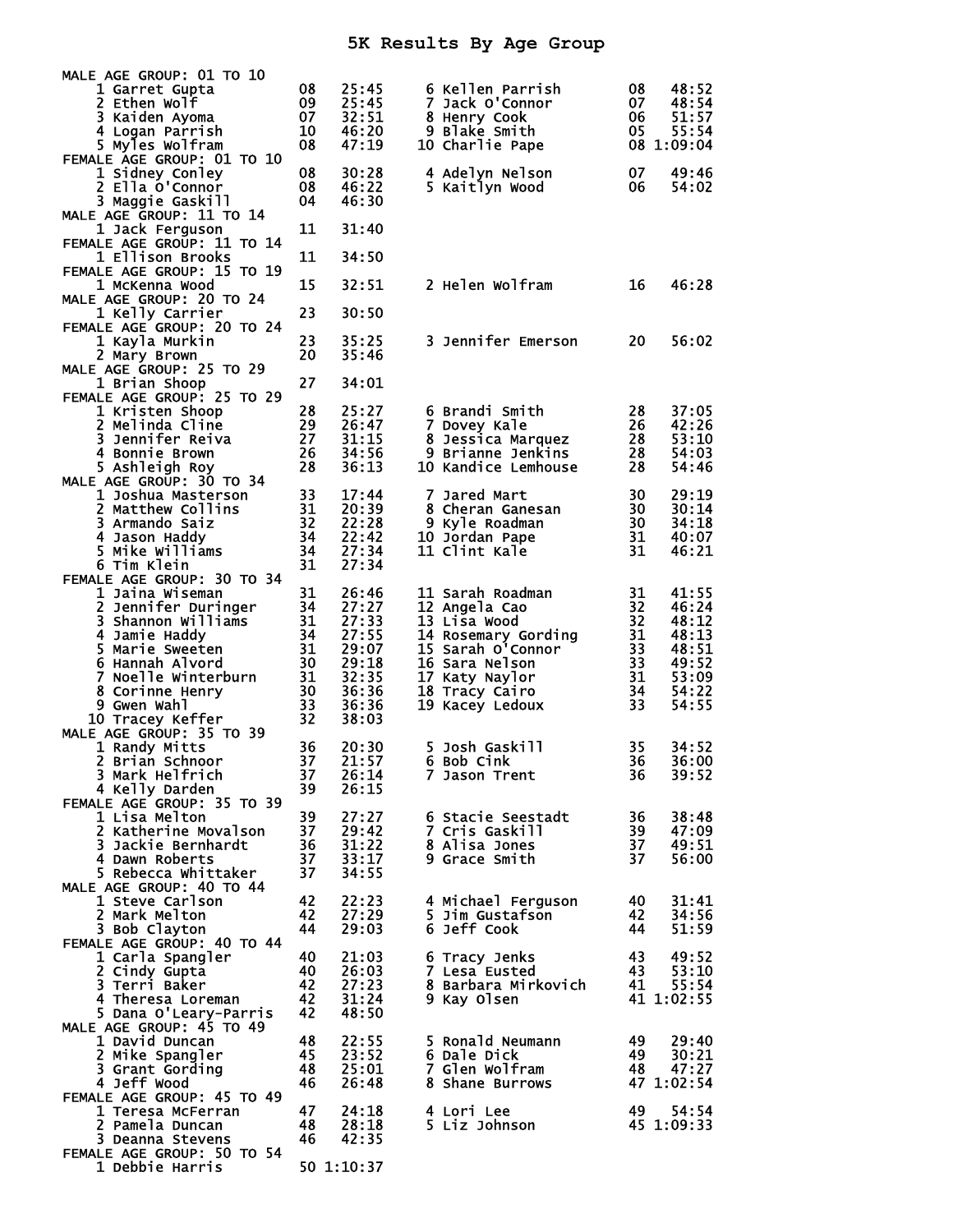## **5K Results By Age Group**

| MALE AGE GROUP: 01 TO 10                     |                      |                |                                          |          |                     |
|----------------------------------------------|----------------------|----------------|------------------------------------------|----------|---------------------|
| 1 Garret Gupta                               | 08                   | 25:45          | 6 Kellen Parrish                         | 08       | 48:52               |
| 2 Ethen Wolf                                 | 09                   | 25:45          | 7 Jack O'Connor                          | 07       | 48:54               |
| 3 Kaiden Ayoma<br>4 Logan Parrish            | 07<br>10             | 32:51<br>46:20 | 8 Henry Cook<br>9 Blake Smith            | 06<br>05 | 51:57<br>55:54      |
| 5 Myles Wolfram                              | 08                   | 47:19          | 10 Charlie Pape                          |          | 08 1:09:04          |
| FEMALE AGE GROUP: 01 TO 10                   |                      |                |                                          |          |                     |
| 1 Sidney Conley                              | 08                   | 30:28          | 4 Adelyn Nelson                          | 07       | 49:46               |
| 2 Ella O'Connor                              | 08                   | 46:22          | 5 Kaitlyn Wood                           | 06       | 54:02               |
| 3 Maggie Gaskill<br>MALE AGE GROUP: 11 TO 14 | 04                   | 46:30          |                                          |          |                     |
| 1 Jack Ferguson                              | 11                   | 31:40          |                                          |          |                     |
| FEMALE AGE GROUP: 11 TO 14                   |                      |                |                                          |          |                     |
| 1 Ellison Brooks                             | 11                   | 34:50          |                                          |          |                     |
| FEMALE AGE GROUP: 15 TO 19                   |                      |                | 2 Helen Wolfram                          | 16       |                     |
| 1 McKenna Wood<br>MALE AGE GROUP: 20 TO 24   | 15                   | 32:51          |                                          |          | 46:28               |
| 1 Kelly Carrier                              | 23                   | 30:50          |                                          |          |                     |
| FEMALE AGE GROUP: 20 TO 24                   |                      |                |                                          |          |                     |
| 1 Kayla Murkin                               | 23                   | 35:25          | 3 Jennifer Emerson                       | 20       | 56:02               |
| 2 Mary Brown<br>MALE AGE GROUP: 25 TO 29     | 20                   | 35:46          |                                          |          |                     |
| 1 Brian Shoop                                | 27                   | 34:01          |                                          |          |                     |
| FEMALE AGE GROUP: 25 TO 29                   |                      |                |                                          |          |                     |
| 1 Kristen Shoop                              | 28                   | 25:27          | 6 Brandi Smith                           | 28       | 37:05               |
| 2 Melinda Cline                              | 29                   | 26:47          | 7 Dovey Kale                             | 26       | 42:26               |
| 3 Jennifer Reiva<br>4 Bonnie Brown           | 27                   | 31:15<br>34:56 | 8 Jessica Marquez                        | 28       | 53:10               |
| 5 Ashleigh Roy                               | 26<br>28             | 36:13          | 9 Brianne Jenkins<br>10 Kandice Lemhouse | 28<br>28 | 54:03<br>54:46      |
| MALE AGE GROUP: 30 TO 34                     |                      |                |                                          |          |                     |
| 1 Joshua Masterson                           | 33                   | 17:44          | 7 Jared Mart                             | 30       | 29:19               |
| 2 Matthew Collins                            | 31                   | 20:39          | 8 Cheran Ganesan                         | 30       | 30:14               |
| 3 Armando Saiz                               | 32<br>$\frac{34}{3}$ | 22:28          | 9 Kyle Roadman                           | 30       | 34:18               |
| 4 Jason Haddy<br>5 Mike Williams             | 34                   | 22:42<br>27:34 | 10 Jordan Pape<br>11 Clint Kale          | 31<br>31 | 40:07<br>46:21      |
| 6 Tim Klein                                  | 31                   | 27:34          |                                          |          |                     |
| FEMALE AGE GROUP: 30 TO 34                   |                      |                |                                          |          |                     |
| 1 Jaina Wiseman                              | 31                   | 26:46          | 11 Sarah Roadman                         | 31       | 41:55               |
| $\overline{\mathbf{c}}$<br>Jennifer Duringer | 34                   | 27:27          | 12 Angela Cao                            | 32       | 46:24               |
| 3 Shannon Williams<br>4 Jamie Haddy          | 31<br>34             | 27:33<br>27:55 | 13 Lisa Wood<br>14 Rosemary Gording      | 32<br>31 | 48:12<br>48:13      |
| 5 Marie Sweeten                              | -31                  | 29:07          | 15 Sarah O'Connor                        | 33       | 48:51               |
| 6 Hannah Alvord                              | 30                   | 29:18          | 16 Sara Nelson                           | 33       | 49:52               |
| 7 Noelle Winterburn                          | 31                   | 32:35          | 17 Katy Naylor                           | 31       | 53:09               |
| 8 Corinne Henry                              | 30                   | 36:36          | 18 Tracy Cairo                           | 34       | 54:22<br>54:55      |
| 9 Gwen Wahl<br>10 Tracey Keffer              | 33<br>32             | 36:36<br>38:03 | 19 Kacey Ledoux                          | 33       |                     |
| MALE AGE GROUP: 35 TO 39                     |                      |                |                                          |          |                     |
| 1 Randy Mitts                                | 36                   | 20:30          | 5 Josh Gaskill                           | 35       | 34:52               |
| 2 Brian Schnoor                              | 37                   | 21:57          | 6 Bob Cink                               | 36       | 36:00               |
| 3 Mark Helfrich<br>4 Kelly Darden            | 37                   | 26:14<br>26:15 | 7 Jason Trent                            | 36       | 39:52               |
| FEMALE AGE GROUP: 35 TO 39                   | 39                   |                |                                          |          |                     |
| 1 Lisa Melton                                | 39                   | 27:27          | 6 Stacie Seestadt                        | 36       | 38:48               |
| 2 Katherine Movalson                         | 37                   | 29:42          | 7 Cris Gaskill                           | 39       | 47:09               |
| 3 Jackie Bernhardt                           | 36                   | 31:22          | 8 Alisa Jones                            | 37       | 49:51               |
| 4 Dawn Roberts<br>5 Rebecca Whittaker        | 37<br>37             | 33:17<br>34:55 | 9 Grace Smith                            | 37       | 56:00               |
| MALE AGE GROUP: 40 TO 44                     |                      |                |                                          |          |                     |
| 1 Steve Carlson                              | 42                   | 22:23          | 4 Michael Ferguson                       | 40       | 31:41               |
| 2 Mark Melton                                | 42                   | 27:29          | 5 Jim Gustafson                          | 42       | 34:56               |
| 3 Bob Clayton                                | 44                   | 29:03          | 6 Jeff Cook                              | 44       | 51:59               |
| FEMALE AGE GROUP: 40 TO 44                   | 40                   | 21:03          |                                          | 43       | 49:52               |
| 1 Carla Spangler<br>2 Cindy Gupta            | 40                   | 26:03          | 6 Tracy Jenks<br>7 Lesa Eusted           | 43       | 53:10               |
| 3 Terri Baker                                | 42                   | 27:23          | 8 Barbara Mirkovich                      | 41       | 55:54               |
| 4 Theresa Loreman                            | 42                   | 31:24          | 9 Kay Olsen                              |          | 41 1:02:55          |
| 5 Dana O'Leary-Parris                        | 42                   | 48:50          |                                          |          |                     |
| MALE AGE GROUP: 45 TO 49<br>1 David Duncan   | 48                   | 22:55          | 5 Ronald Neumann                         | 49       | 29:40               |
| 2 Mike Spangler                              | 45                   | 23:52          | 6 Dale Dick                              | 49       | 30:21               |
| 3 Grant Gording                              | 48                   | 25:01          | <b>7 Glen Wolfram</b>                    | 48       | 47:27               |
| 4 Jeff Wood                                  | 46                   | 26:48          | 8 Shane Burrows                          |          | 47 1:02:54          |
| FEMALE AGE GROUP: 45 TO 49                   |                      |                |                                          |          |                     |
| 1 Teresa McFerran<br>2 Pamela Duncan         | 47<br>48             | 24:18<br>28:18 | 4 Lori Lee<br>5 Liz Johnson              | 49       | 54:54<br>45 1:09:33 |
| 3 Deanna Stevens                             | 46                   | 42:35          |                                          |          |                     |
| FEMALE AGE GROUP: 50 TO 54                   |                      |                |                                          |          |                     |
| 1 Debbie Harris                              |                      | 50 1:10:37     |                                          |          |                     |